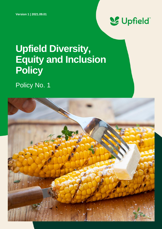

# **Upfield Diversity, Equity and Inclusion Policy**

Policy No. 1

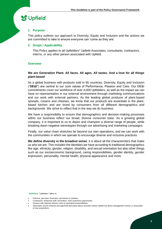## & Upfield

#### **1. Purpose**

This policy outlines our approach to Diversity, Equity and Inclusion and the actions we are committed to take to ensure everyone can 'come as they are'.

#### **2. Scope / Applicability**

This Policy applies to all Upfielders<sup>1</sup> Upfield Associates, consultants, contractors, interns, or any other person associated with Upfield.

#### **Overview**

#### **We are Generation Plant. All faces. All ages. All tastes. And a love for all things plant-based**

As a global business with products sold in 95 countries, Diversity, Equity and Inclusion ("**DE&I**") are central to our core values of Performance, Passion and Care. Our DE&I commitments cover our workforce of over 4,000 Upfielders, as well as the impact we can have on representation in our external environment through marketing communications and our work with external partners. As the leading global producer of plant-based spreads, creams and cheeses, we know that our products are essentials in the plantbased kitchen and are loved by consumers from all different demographics and backgrounds. We strive to reflect that in the way we do business.

We have a responsibility to ensure that demographics and decision-making processes within our business reflect our broad, diverse consumer base. As a growing global company, it is important to us to depict and champion a diverse range of people, while breaking down negative stereotypes through our advertising and marketing campaigns.

Finally, our value chain stretches far beyond our own operations, and we can work with the communities in which we operate to encourage diverse and inclusive practices.

**We define diversity in the broadest sense**: it is about all the characteristics that make us who we are. This includes the identities we have according to traditional demographics like age, ethnicity, gender, religion, disability, and sexual orientation but also other things such as our socioeconomic background, caring responsibilities, gender identity, gender expression, personality, mental health, physical appearance and more.

<sup>1</sup> **Definition**: "Upfielders" refers to:

<sup>•</sup> Full-time, part-time, fixed-term, permanent or trainees;

<sup>•</sup> Contractors, temporary staff, secondees, work-experience placements;

Persons with statutory director roles or equivalent responsibilities:

<sup>•</sup> Associates of joint ventures and approved third-party labour providers where Upfield has direct management control; or Associates of new acquisitions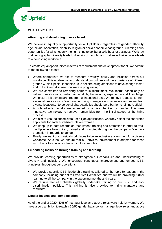# **SC** Upfield

#### **OUR PRINCIPLES**

#### **Attracting and developing diverse talent**

We believe in equality of opportunity for all Upfielders, regardless of gender, ethnicity, age, sexual orientation, disability religion or socio-economic background. Creating equal opportunities for all is not only the right thing to do, but also is best for business. We know that demographic diversity leads to diversity of thought, and that an inclusive culture leads to a flourishing workforce.

To create equal opportunities in terms of recruitment and development for all, we commit to the following actions:

- Where appropriate we aim to measure diversity, equity and inclusion across our workforce. This enables us to understand our culture and the experience of different groups within Upfield. It enables us to set stretching ambitions to drive change faster, and to track and disclose how we are progressing.
- We are committed to removing barriers in recruitment. We recruit based only on values, qualifications, performance, skills, behaviours, experience and knowledge. We ensure job adverts are free from unintentional bias. We remove requests for nonessential qualifications. We train our hiring managers and recruiters and recruit from diverse locations. No personal characteristics should be a barrier to joining Upfield.
- All job adverts globally are screened by a bias checker for gender. This uses innovative technology to remove human bias from the initial stages of the hiring process.
- We aim to use "balanced slate" for all job applications, whereby half of the shortlisted applicants for each advertised role are women.
- We keep up-to-date records on recruitment, training and promotion in order to track the Upfielders being hired, trained and promoted throughout the company. We track promotion in regards to gender.
- Finally, we want our physical workplaces to be an inclusive environment for a diverse workforce. As such, we ensure that our physical environment is adapted for those with disabilities, in accordance with local regulation.

#### **Embedding inclusion through training and learning**

We provide learning opportunities to strengthen our capabilities and understanding of diversity and inclusion. We encourage continuous improvement and embed DE&I principles throughout our operations.

- We provide specific DE&I leadership training, tailored to the top 150 leaders in the company, including our entire Executive Committee and we will be providing further learning to all the company in the upcoming months and years.
- We require that all Upfielders globally undertake training on our DE&I and nondiscrimination policies. This training is also provided to hiring managers and recruiters.

#### **Gender balance and compensation**

As of the end of 2020, 40% of manager level and above roles were held by women. We have a bold ambition to reach a 50/50 gender balance for manager level roles and above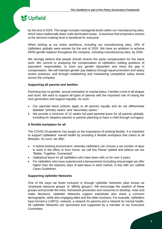### **S**Upfield

by the end of 2025. This target includes managerial levels within our manufacturing sites, which have traditionally been male-dominated areas. A business that empowers women at the decision-making level is beneficial for everyone.

When looking at our entire workforce, including our manufacturing sites, 34% of Upfielders globally were women by the end of 2020. We have an ambition to achieve 50/50 gender balance throughout the company, including manufacturing sites, by 2030.

We strongly believe that people should receive the same compensation for the same work. We commit to analysing the compensation of Upfielders holding positions of equivalent responsibility, to track any gender disparities and close the gap in compensation. We will maintain gender pay balance through equal promotion and salary review practices, and through establishing and maintaining competitive salary bands across the company.

#### **Supporting all parents and families**

Parenting has no gender, sexual orientation or marital status. Families come in all shapes and sizes. We want to support all types of parents with the important role of raising the next generation and support equality. As such:

- Our parental leave policies apply to all parents equally and do not differentiate between "primary carers" and "secondary carers."
- We provide a minimum of 12 weeks full paid parental leave for all parents globally, including for adoptive parents or parents planning to have a child through surrogacy.

#### **A flexible workplace for all**

The COVID-19 pandemic has taught us the importance of working flexibly. It is important to support Upfielders' overall health by providing a flexible workplace that caters to all lifestyles. As such, we offer:

- A hybrid working environment, whereby Upfielders can choose a set number of days to work in the office or from home; we call this Planet Upfield and believe we are "Better, Together, Connected"
- Sabbatical leave for all Upfielders who have been with us for over 3 years.
- For Upfielders who have experienced a bereavement (including miscarriage) we offer higher than the statutory days of paid leave in each market, in line with our Upfield Cares Guidelines.

#### **Supporting Upfielder Networks**

One of the ways we foster inclusion is through Upfielder Networks (also known as 'employee resource groups' or 'affinity groups'). We encourage the creation of these groups and provide the tools, framework processes and resources to develop, meet and make decisions. Upfielder Networks support individuals who share a common demographic, while also engaging allies and the wider business. For example, Upfielders have formed a LGBTQ+ network, a network for parents and a network for mental health. All Upfielder Networks are sponsored and supported by a member of our Executive Committee.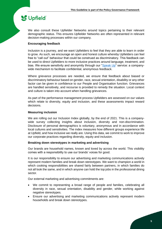## Supfield

We also consult these Upfielder Networks around topics pertaining to their relevant demographic status. This ensures Upfielder Networks are often represented in relevant decision-making processes within our company.

#### **Encouraging feedback**

Inclusion is a journey, and we want Upfielders to feel that they are able to learn in order to grow. As such, we encourage an open and honest culture whereby Upfielders can feel free to "call out" behaviour that could be construed as discriminatory. This feedback can be used to direct Upfielders to more inclusive practices around language, treatment, and bias. We ensure sensitivity and anonymity through our ["Speak Up"](https://upfield.com/speak-up/) service: a companywide mechanism to facilitate confidential, anonymous feedback.

Where grievance processes are needed, we ensure that feedback about biased or discriminatory behaviour based on gender, race, sexual orientation, disability or any other factor can be given in confidence to our People and Organisation function. Grievances are handled sensitively, and recourse is provided to remedy the situation. Local context and culture is taken into account when handling grievances.

As part of the performance management process Upfielders are assessed on our values which relate to diversity, equity and inclusion, and these assessments impact reward decisions.

#### **Measuring inclusion**

We are rolling out our Inclusion Index globally, by the end of 2021. This is a companywide survey collecting insights about inclusion, diversity and non-discrimination. Disclosure of personal demographics is voluntary, anonymous and in accordance with local cultures and sensitivities. The index measures how different groups experience life at Upfield, and how inclusive we really are. Using this data, we commit to work to improve our corporate practices regarding diversity, equity and inclusion.

#### **Breaking down stereotypes in marketing and advertising**

Our brands are household names, known and loved by across the world. This visibility comes with a responsibility to use our brands' voices for good.

It is our responsibility to ensure our advertising and marketing communications actively represent modern families and break down stereotypes. We want to champion a world in which cooking responsibilities are shared fairly between partners, in which families do not all look the same, and in which anyone can hold the top jobs in the professional dining sector.

Our external marketing and advertising commitments are:

- We commit to representing a broad range of people and families, celebrating all diversity in race, sexual orientation, disability and gender, while working against negative stereotypes.
- Ensure our advertising and marketing communications actively represent modern households and break down stereotypes.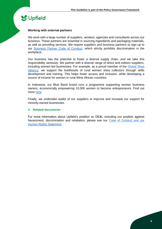# **SC** Upfield

#### **Working with external partners**

We work with a large number of suppliers, vendors, agencies and consultants across our business. These partners are essential in sourcing ingredients and packaging materials, as well as providing services. We require suppliers and business partners to sign up to our **Business Partner Code of Conduct**, which strictly prohibits discrimination in the workplace.

Our business has the potential to foster a diverse supply chain, and we take this responsibility seriously. We partner with a diverse range of direct and indirect suppliers, including women-led businesses. For example, as a proud member of the Global Shea [Alliance,](https://www.globalshea.com/) we support the livelihoods of rural women shea collectors through skills development and training. This helps foster access and inclusion, while developing a source of income for women in rural West African countries.

In Indonesia, our Blue Band brand runs a programme supporting women business owners, economically empowering 10,000 women to become entrepreneurs. Find out more [here.](https://upfield.com/how-were-supporting-sdgs-through-community-involvement/)

Finally, we undertake audits of our suppliers to improve and increase our support for minority-owned businesses.

#### **3. Related documents**

For more information about Upfield's position on DE&I, including our position against harassment, discrimination and retaliation, please see our [Code of Conduct](https://upfield.com/wp-content/uploads/2021/04/Code-of-Conduct-English.pdf) and our [Human Rights Statement.](https://upfield.com/wp-content/uploads/2021/01/Human-Rights-Statement-2021.pdf)